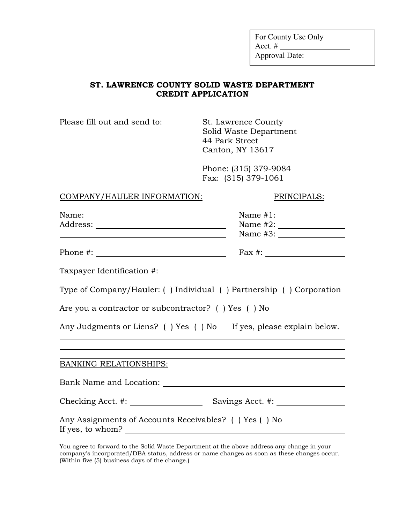For County Use Only Acct.  $\#$ Approval Date:

#### **ST. LAWRENCE COUNTY SOLID WASTE DEPARTMENT CREDIT APPLICATION**

Please fill out and send to: St. Lawrence County

Solid Waste Department 44 Park Street Canton, NY 13617

Phone: (315) 379-9084 Fax: (315) 379-1061

#### COMPANY/HAULER INFORMATION: PRINCIPALS:

| <u> 2000 - Andrea Andrew Maria (h. 18</u>                                                                                                                                                                                                                                                              |  |
|--------------------------------------------------------------------------------------------------------------------------------------------------------------------------------------------------------------------------------------------------------------------------------------------------------|--|
| Phone #: $\frac{1}{2}$ = $\frac{1}{2}$ = $\frac{1}{2}$ = $\frac{1}{2}$ = $\frac{1}{2}$ = $\frac{1}{2}$ = $\frac{1}{2}$ = $\frac{1}{2}$ = $\frac{1}{2}$ = $\frac{1}{2}$ = $\frac{1}{2}$ = $\frac{1}{2}$ = $\frac{1}{2}$ = $\frac{1}{2}$ = $\frac{1}{2}$ = $\frac{1}{2}$ = $\frac{1}{2}$ = $\frac{1}{2}$ |  |
|                                                                                                                                                                                                                                                                                                        |  |
| Type of Company/Hauler: () Individual () Partnership () Corporation                                                                                                                                                                                                                                    |  |
| Are you a contractor or subcontractor? () Yes () No                                                                                                                                                                                                                                                    |  |
| Any Judgments or Liens? () Yes () No If yes, please explain below.                                                                                                                                                                                                                                     |  |
|                                                                                                                                                                                                                                                                                                        |  |
|                                                                                                                                                                                                                                                                                                        |  |
| <b>BANKING RELATIONSHIPS:</b>                                                                                                                                                                                                                                                                          |  |
|                                                                                                                                                                                                                                                                                                        |  |
|                                                                                                                                                                                                                                                                                                        |  |
| Any Assignments of Accounts Receivables? () Yes () No<br>If yes, to whom?                                                                                                                                                                                                                              |  |
|                                                                                                                                                                                                                                                                                                        |  |

You agree to forward to the Solid Waste Department at the above address any change in your company's incorporated/DBA status, address or name changes as soon as these changes occur. (Within five (5) business days of the change.)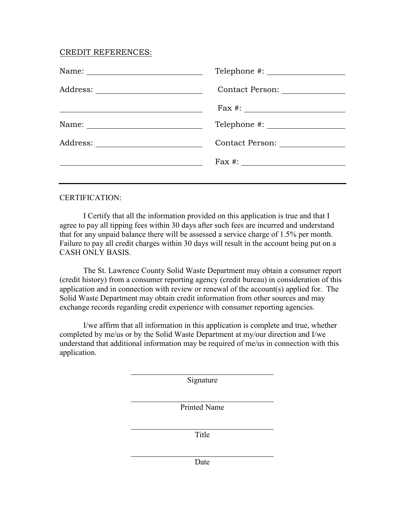#### CREDIT REFERENCES:

| Contact Person: _______________ |
|---------------------------------|
|                                 |
|                                 |
| Contact Person: 2000            |
|                                 |
|                                 |

#### CERTIFICATION:

I Certify that all the information provided on this application is true and that I agree to pay all tipping fees within 30 days after such fees are incurred and understand that for any unpaid balance there will be assessed a service charge of 1.5% per month. Failure to pay all credit charges within 30 days will result in the account being put on a CASH ONLY BASIS.

The St. Lawrence County Solid Waste Department may obtain a consumer report (credit history) from a consumer reporting agency (credit bureau) in consideration of this application and in connection with review or renewal of the account(s) applied for. The Solid Waste Department may obtain credit information from other sources and may exchange records regarding credit experience with consumer reporting agencies.

I/we affirm that all information in this application is complete and true, whether completed by me/us or by the Solid Waste Department at my/our direction and I/we understand that additional information may be required of me/us in connection with this application.

Signature

Printed Name

Title

Date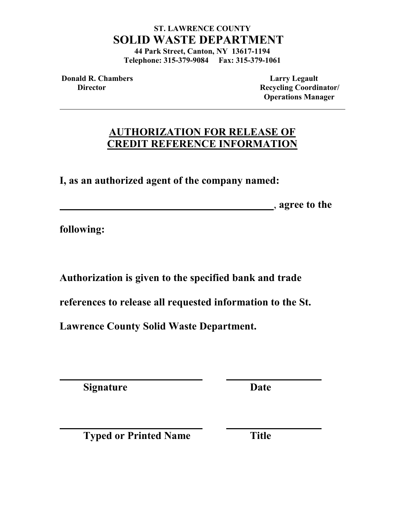# **ST. LAWRENCE COUNTY SOLID WASTE DEPARTMENT**

**44 Park Street, Canton, NY 13617-1194 Telephone: 315-379-9084 Fax: 315-379-1061**

**Donald R. Chambers Larry Legault** 

**Director** Recycling Coordinator/  **Operations Manager** 

# **AUTHORIZATION FOR RELEASE OF CREDIT REFERENCE INFORMATION**

**I, as an authorized agent of the company named:** 

, **agree to the** 

**following:**

**Authorization is given to the specified bank and trade** 

**references to release all requested information to the St.** 

**Lawrence County Solid Waste Department.**

**Signature Date**

**Typed or Printed Name Title**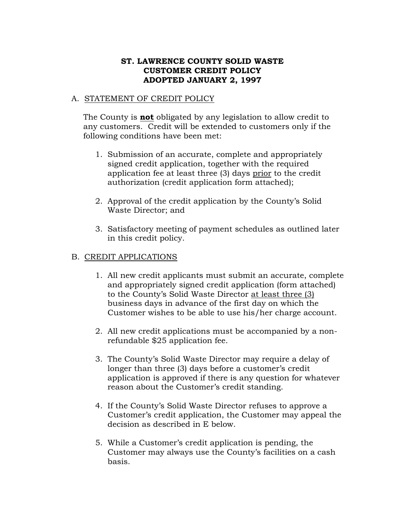### **ST. LAWRENCE COUNTY SOLID WASTE CUSTOMER CREDIT POLICY ADOPTED JANUARY 2, 1997**

#### A. STATEMENT OF CREDIT POLICY

The County is **not** obligated by any legislation to allow credit to any customers. Credit will be extended to customers only if the following conditions have been met:

- 1. Submission of an accurate, complete and appropriately signed credit application, together with the required application fee at least three (3) days prior to the credit authorization (credit application form attached);
- 2. Approval of the credit application by the County's Solid Waste Director; and
- 3. Satisfactory meeting of payment schedules as outlined later in this credit policy.

#### B. CREDIT APPLICATIONS

- 1. All new credit applicants must submit an accurate, complete and appropriately signed credit application (form attached) to the County's Solid Waste Director at least three (3) business days in advance of the first day on which the Customer wishes to be able to use his/her charge account.
- 2. All new credit applications must be accompanied by a nonrefundable \$25 application fee.
- 3. The County's Solid Waste Director may require a delay of longer than three (3) days before a customer's credit application is approved if there is any question for whatever reason about the Customer's credit standing.
- 4. If the County's Solid Waste Director refuses to approve a Customer's credit application, the Customer may appeal the decision as described in E below.
- 5. While a Customer's credit application is pending, the Customer may always use the County's facilities on a cash basis.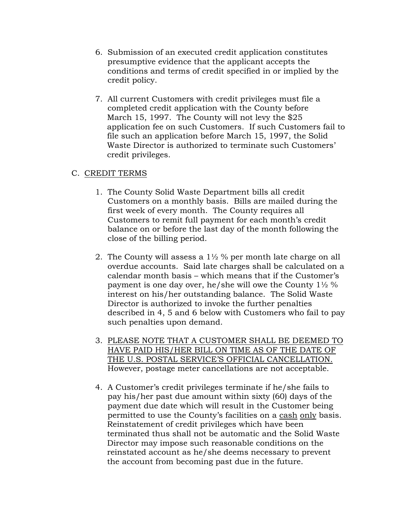- 6. Submission of an executed credit application constitutes presumptive evidence that the applicant accepts the conditions and terms of credit specified in or implied by the credit policy.
- 7. All current Customers with credit privileges must file a completed credit application with the County before March 15, 1997. The County will not levy the \$25 application fee on such Customers. If such Customers fail to file such an application before March 15, 1997, the Solid Waste Director is authorized to terminate such Customers' credit privileges.

### C. CREDIT TERMS

- 1. The County Solid Waste Department bills all credit Customers on a monthly basis. Bills are mailed during the first week of every month. The County requires all Customers to remit full payment for each month's credit balance on or before the last day of the month following the close of the billing period.
- 2. The County will assess a 1½ % per month late charge on all overdue accounts. Said late charges shall be calculated on a calendar month basis – which means that if the Customer's payment is one day over, he/she will owe the County 1½ % interest on his/her outstanding balance. The Solid Waste Director is authorized to invoke the further penalties described in 4, 5 and 6 below with Customers who fail to pay such penalties upon demand.
- 3. PLEASE NOTE THAT A CUSTOMER SHALL BE DEEMED TO HAVE PAID HIS/HER BILL ON TIME AS OF THE DATE OF THE U.S. POSTAL SERVICE'S OFFICIAL CANCELLATION. However, postage meter cancellations are not acceptable.
- 4. A Customer's credit privileges terminate if he/she fails to pay his/her past due amount within sixty (60) days of the payment due date which will result in the Customer being permitted to use the County's facilities on a cash only basis. Reinstatement of credit privileges which have been terminated thus shall not be automatic and the Solid Waste Director may impose such reasonable conditions on the reinstated account as he/she deems necessary to prevent the account from becoming past due in the future.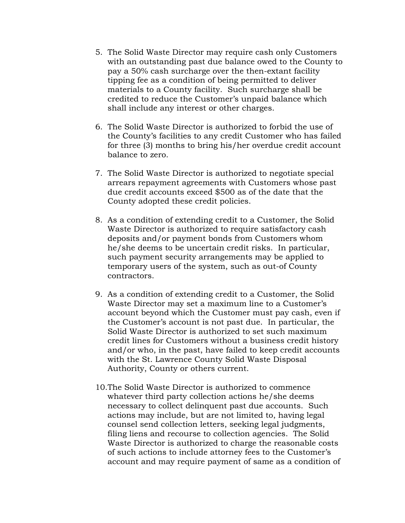- 5. The Solid Waste Director may require cash only Customers with an outstanding past due balance owed to the County to pay a 50% cash surcharge over the then-extant facility tipping fee as a condition of being permitted to deliver materials to a County facility. Such surcharge shall be credited to reduce the Customer's unpaid balance which shall include any interest or other charges.
- 6. The Solid Waste Director is authorized to forbid the use of the County's facilities to any credit Customer who has failed for three (3) months to bring his/her overdue credit account balance to zero.
- 7. The Solid Waste Director is authorized to negotiate special arrears repayment agreements with Customers whose past due credit accounts exceed \$500 as of the date that the County adopted these credit policies.
- 8. As a condition of extending credit to a Customer, the Solid Waste Director is authorized to require satisfactory cash deposits and/or payment bonds from Customers whom he/she deems to be uncertain credit risks. In particular, such payment security arrangements may be applied to temporary users of the system, such as out-of County contractors.
- 9. As a condition of extending credit to a Customer, the Solid Waste Director may set a maximum line to a Customer's account beyond which the Customer must pay cash, even if the Customer's account is not past due. In particular, the Solid Waste Director is authorized to set such maximum credit lines for Customers without a business credit history and/or who, in the past, have failed to keep credit accounts with the St. Lawrence County Solid Waste Disposal Authority, County or others current.
- 10.The Solid Waste Director is authorized to commence whatever third party collection actions he/she deems necessary to collect delinquent past due accounts. Such actions may include, but are not limited to, having legal counsel send collection letters, seeking legal judgments, filing liens and recourse to collection agencies. The Solid Waste Director is authorized to charge the reasonable costs of such actions to include attorney fees to the Customer's account and may require payment of same as a condition of